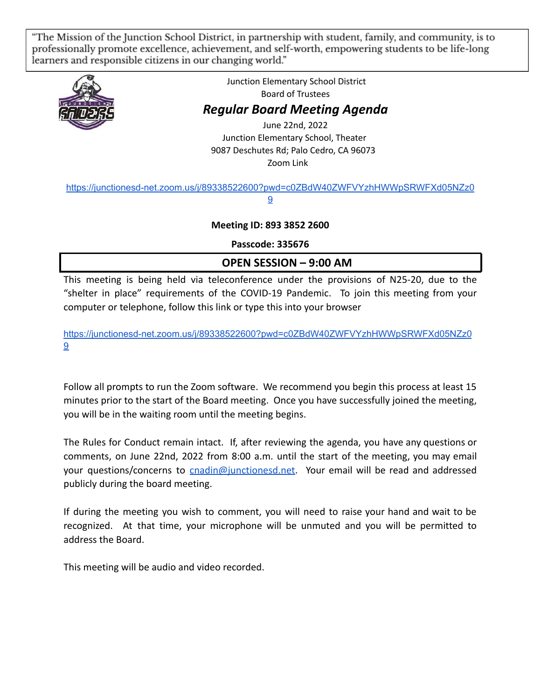"The Mission of the Junction School District, in partnership with student, family, and community, is to professionally promote excellence, achievement, and self-worth, empowering students to be life-long learners and responsible citizens in our changing world."



Junction Elementary School District Board of Trustees

## *Regular Board Meeting Agenda*

June 22nd, 2022 Junction Elementary School, Theater 9087 Deschutes Rd; Palo Cedro, CA 96073 Zoom Link

#### [https://junctionesd-net.zoom.us/j/89338522600?pwd=c0ZBdW40ZWFVYzhHWWpSRWFXd05NZz0](https://junctionesd-net.zoom.us/j/89338522600?pwd=c0ZBdW40ZWFVYzhHWWpSRWFXd05NZz09) [9](https://junctionesd-net.zoom.us/j/89338522600?pwd=c0ZBdW40ZWFVYzhHWWpSRWFXd05NZz09)

### **Meeting ID: 893 3852 2600**

**Passcode: 335676**

# **OPEN SESSION – 9:00 AM**

This meeting is being held via teleconference under the provisions of N25-20, due to the "shelter in place" requirements of the COVID-19 Pandemic. To join this meeting from your computer or telephone, follow this link or type this into your browser

[https://junctionesd-net.zoom.us/j/89338522600?pwd=c0ZBdW40ZWFVYzhHWWpSRWFXd05NZz0](https://junctionesd-net.zoom.us/j/89338522600?pwd=c0ZBdW40ZWFVYzhHWWpSRWFXd05NZz09) [9](https://junctionesd-net.zoom.us/j/89338522600?pwd=c0ZBdW40ZWFVYzhHWWpSRWFXd05NZz09)

Follow all prompts to run the Zoom software. We recommend you begin this process at least 15 minutes prior to the start of the Board meeting. Once you have successfully joined the meeting, you will be in the waiting room until the meeting begins.

The Rules for Conduct remain intact. If, after reviewing the agenda, you have any questions or comments, on June 22nd, 2022 from 8:00 a.m. until the start of the meeting, you may email your questions/concerns to [cnadin@junctionesd.net](mailto:cnadin@junctionesd.net). Your email will be read and addressed publicly during the board meeting.

If during the meeting you wish to comment, you will need to raise your hand and wait to be recognized. At that time, your microphone will be unmuted and you will be permitted to address the Board.

This meeting will be audio and video recorded.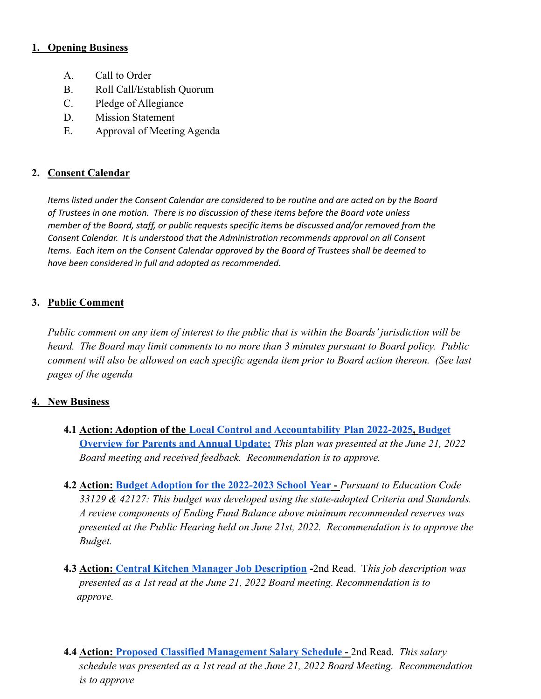#### **1. Opening Business**

- A. Call to Order
- B. Roll Call/Establish Quorum
- C. Pledge of Allegiance
- D. Mission Statement
- E. Approval of Meeting Agenda

#### **2. Consent Calendar**

*Items listed under the Consent Calendar are considered to be routine and are acted on by the Board of Trustees in one motion. There is no discussion of these items before the Board vote unless member of the Board, staff, or public requests specific items be discussed and/or removed from the Consent Calendar. It is understood that the Administration recommends approval on all Consent Items. Each item on the Consent Calendar approved by the Board of Trustees shall be deemed to have been considered in full and adopted as recommended.*

#### **3. Public Comment**

*Public comment on any item of interest to the public that is within the Boards' jurisdiction will be heard. The Board may limit comments to no more than 3 minutes pursuant to Board policy. Public comment will also be allowed on each specific agenda item prior to Board action thereon. (See last pages of the agenda*

#### **4. New Business**

- **4.1 Action: Adoption of the [Local Control and Accountability](https://drive.google.com/file/d/1Kb2xJD6eouRGSx3P10hdwCtEgB964vWb/view?usp=sharing) Plan 2022-2025, [Budget](https://drive.google.com/file/d/15bj7ogcvSxd-L6CXrx2b-5vASEVX0VaW/view?usp=sharing) [Overview for Parents and Annual Update:](https://drive.google.com/file/d/15bj7ogcvSxd-L6CXrx2b-5vASEVX0VaW/view?usp=sharing)** *This plan was presented at the June 21, 2022 Board meeting and received feedback. Recommendation is to approve.*
- **4.2 Action: [Budget Adoption for the 2022-2023 School](https://drive.google.com/file/d/1L8YRslhiTKas-c9OpyE8vPwcxOBTpgKE/view?usp=sharing) Year -** *Pursuant to Education Code 33129 & 42127: This budget was developed using the state-adopted Criteria and Standards. A review components of Ending Fund Balance above minimum recommended reserves was presented at the Public Hearing held on June 21st, 2022. Recommendation is to approve the Budget.*
- **4.3 Action: [Central Kitchen Manager Job Description](https://docs.google.com/document/d/15AwHWqy-7M-BXOsqEt5GopmmPrWbFpdEWxQs7guFBvw/edit?usp=sharing) -**2nd Read. T*his job description was presented as a 1st read at the June 21, 2022 Board meeting. Recommendation is to approve.*
- **4.4 Action: [Proposed Classified Management Salary](https://drive.google.com/file/d/10ytsvp-RN9fX8GU_MA7ziTA4LkM4AFbU/view?usp=sharing) Schedule -** 2nd Read. *This salary schedule was presented as a 1st read at the June 21, 2022 Board Meeting. Recommendation is to approve*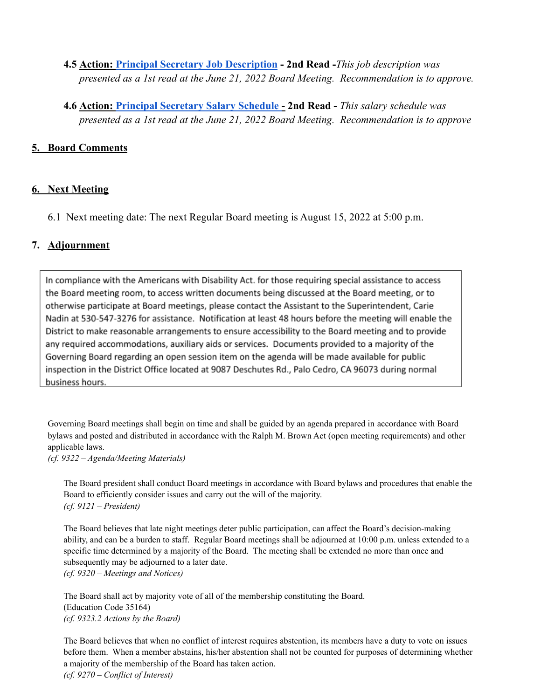- **4.5 Action: [Principal Secretary Job Description](https://docs.google.com/document/d/1M0NCdIHEbKoDtf2QN9nEPpeUXmqF79rYPj-8lHK-Dj0/edit?usp=sharing) - 2nd Read -***This job description was presented as a 1st read at the June 21, 2022 Board Meeting. Recommendation is to approve.*
- **4.6 Action: [Principal Secretary Salary Schedule](https://drive.google.com/file/d/1wwd4pXKwGJrCawl0WK11CUi3D5Qg9hKN/view?usp=sharing) - 2nd Read -** *This salary schedule was presented as a 1st read at the June 21, 2022 Board Meeting. Recommendation is to approve*

#### **5. Board Comments**

#### **6. Next Meeting**

6.1 Next meeting date: The next Regular Board meeting is August 15, 2022 at 5:00 p.m.

#### **7. Adjournment**

In compliance with the Americans with Disability Act. for those requiring special assistance to access the Board meeting room, to access written documents being discussed at the Board meeting, or to otherwise participate at Board meetings, please contact the Assistant to the Superintendent, Carie Nadin at 530-547-3276 for assistance. Notification at least 48 hours before the meeting will enable the District to make reasonable arrangements to ensure accessibility to the Board meeting and to provide any required accommodations, auxiliary aids or services. Documents provided to a majority of the Governing Board regarding an open session item on the agenda will be made available for public inspection in the District Office located at 9087 Deschutes Rd., Palo Cedro, CA 96073 during normal business hours.

Governing Board meetings shall begin on time and shall be guided by an agenda prepared in accordance with Board bylaws and posted and distributed in accordance with the Ralph M. Brown Act (open meeting requirements) and other applicable laws.

*(cf. 9322 – Agenda/Meeting Materials)*

The Board president shall conduct Board meetings in accordance with Board bylaws and procedures that enable the Board to efficiently consider issues and carry out the will of the majority. *(cf. 9121 – President)*

The Board believes that late night meetings deter public participation, can affect the Board's decision-making ability, and can be a burden to staff. Regular Board meetings shall be adjourned at 10:00 p.m. unless extended to a specific time determined by a majority of the Board. The meeting shall be extended no more than once and subsequently may be adjourned to a later date. *(cf. 9320 – Meetings and Notices)*

The Board shall act by majority vote of all of the membership constituting the Board. (Education Code 35164) *(cf. 9323.2 Actions by the Board)*

The Board believes that when no conflict of interest requires abstention, its members have a duty to vote on issues before them. When a member abstains, his/her abstention shall not be counted for purposes of determining whether a majority of the membership of the Board has taken action. *(cf. 9270 – Conflict of Interest)*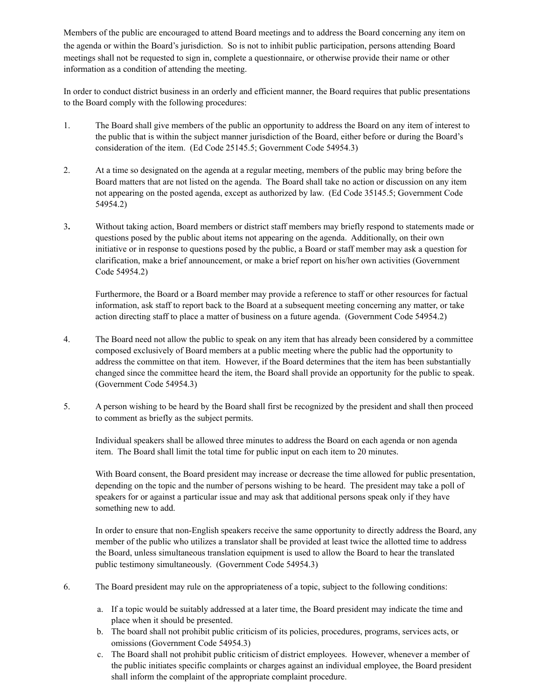Members of the public are encouraged to attend Board meetings and to address the Board concerning any item on the agenda or within the Board's jurisdiction. So is not to inhibit public participation, persons attending Board meetings shall not be requested to sign in, complete a questionnaire, or otherwise provide their name or other information as a condition of attending the meeting.

In order to conduct district business in an orderly and efficient manner, the Board requires that public presentations to the Board comply with the following procedures:

- 1. The Board shall give members of the public an opportunity to address the Board on any item of interest to the public that is within the subject manner jurisdiction of the Board, either before or during the Board's consideration of the item. (Ed Code 25145.5; Government Code 54954.3)
- 2. At a time so designated on the agenda at a regular meeting, members of the public may bring before the Board matters that are not listed on the agenda. The Board shall take no action or discussion on any item not appearing on the posted agenda, except as authorized by law. (Ed Code 35145.5; Government Code 54954.2)
- 3**.** Without taking action, Board members or district staff members may briefly respond to statements made or questions posed by the public about items not appearing on the agenda. Additionally, on their own initiative or in response to questions posed by the public, a Board or staff member may ask a question for clarification, make a brief announcement, or make a brief report on his/her own activities (Government Code 54954.2)

Furthermore, the Board or a Board member may provide a reference to staff or other resources for factual information, ask staff to report back to the Board at a subsequent meeting concerning any matter, or take action directing staff to place a matter of business on a future agenda. (Government Code 54954.2)

- 4. The Board need not allow the public to speak on any item that has already been considered by a committee composed exclusively of Board members at a public meeting where the public had the opportunity to address the committee on that item. However, if the Board determines that the item has been substantially changed since the committee heard the item, the Board shall provide an opportunity for the public to speak. (Government Code 54954.3)
- 5. A person wishing to be heard by the Board shall first be recognized by the president and shall then proceed to comment as briefly as the subject permits.

Individual speakers shall be allowed three minutes to address the Board on each agenda or non agenda item. The Board shall limit the total time for public input on each item to 20 minutes.

With Board consent, the Board president may increase or decrease the time allowed for public presentation, depending on the topic and the number of persons wishing to be heard. The president may take a poll of speakers for or against a particular issue and may ask that additional persons speak only if they have something new to add.

In order to ensure that non-English speakers receive the same opportunity to directly address the Board, any member of the public who utilizes a translator shall be provided at least twice the allotted time to address the Board, unless simultaneous translation equipment is used to allow the Board to hear the translated public testimony simultaneously. (Government Code 54954.3)

- 6. The Board president may rule on the appropriateness of a topic, subject to the following conditions:
	- a. If a topic would be suitably addressed at a later time, the Board president may indicate the time and place when it should be presented.
	- b. The board shall not prohibit public criticism of its policies, procedures, programs, services acts, or omissions (Government Code 54954.3)
	- c. The Board shall not prohibit public criticism of district employees. However, whenever a member of the public initiates specific complaints or charges against an individual employee, the Board president shall inform the complaint of the appropriate complaint procedure.